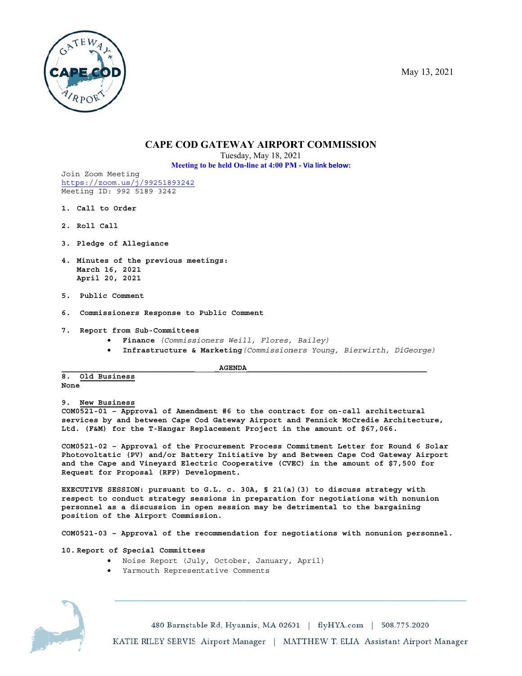May 13, 2021



# **CAPE COD GATEWAY AIRPORT COMMISSION**

Tuesday, May 18, 2021

Meeting to be held On-line at 4:00 PM - Via link below:

Join Zoom Meeting https://zoom.us/j/99251893242 Meeting ID: 992 5189 3242

- 1. Call to Order
- 2. Roll Call
- 3. Pledge of Allegiance
- 4. Minutes of the previous meetings: March 16, 2021 April 20, 2021
- 5. Public Comment
- 6. Commissioners Response to Public Comment

### 7. Report from Sub-Committees

• Finance (Commissioners Weill, Flores, Bailey)

**AGENDA** 

Infrastructure & Marketing (Commissioners Young, Bierwirth, DiGeorge)

 $8.$ Old Business None

9. New Business

COM0521-01 - Approval of Amendment #6 to the contract for on-call architectural services by and between Cape Cod Gateway Airport and Fennick McCredie Architecture, Ltd. (F&M) for the T-Hangar Replacement Project in the amount of \$67,066.

COM0521-02 - Approval of the Procurement Process Commitment Letter for Round 6 Solar Photovoltatic (PV) and/or Battery Initiative by and Between Cape Cod Gateway Airport and the Cape and Vineyard Electric Cooperative (CVEC) in the amount of \$7,500 for Request for Proposal (RFP) Development.

EXECUTIVE SESSION: pursuant to G.L. c. 30A, § 21(a)(3) to discuss strategy with respect to conduct strategy sessions in preparation for negotiations with nonunion personnel as a discussion in open session may be detrimental to the bargaining position of the Airport Commission.

COM0521-03 - Approval of the recommendation for negotiations with nonunion personnel.

10. Report of Special Committees

- Noise Report (July, October, January, April)
- Yarmouth Representative Comments



480 Barnstable Rd, Hyannis, MA 02601 | flyHYA.com | 508.775.2020

KATIE RILEY SERVIS Airport Manager | MATTHEW T. ELIA Assistant Airport Manager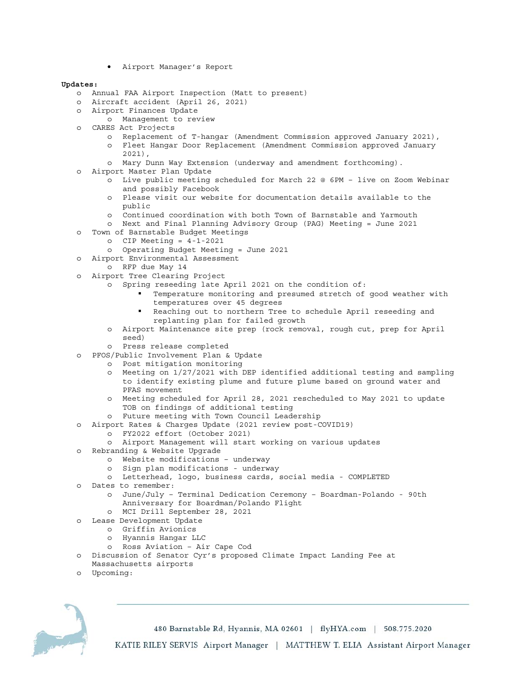• Airport Manager's Report

### **Updates:**

- o Annual FAA Airport Inspection (Matt to present)
- o Aircraft accident (April 26, 2021)
- o Airport Finances Update
	- o Management to review
- o CARES Act Projects
	- o Replacement of T-hangar (Amendment Commission approved January 2021),
	- o Fleet Hangar Door Replacement (Amendment Commission approved January 2021),
	- o Mary Dunn Way Extension (underway and amendment forthcoming).
- o Airport Master Plan Update
	- o Live public meeting scheduled for March 22 @ 6PM live on Zoom Webinar and possibly Facebook
	- o Please visit our website for documentation details available to the public
	- o Continued coordination with both Town of Barnstable and Yarmouth
	- o Next and Final Planning Advisory Group (PAG) Meeting = June 2021
- o Town of Barnstable Budget Meetings
	- $O$  CIP Meeting =  $4-1-2021$
	- o Operating Budget Meeting = June 2021
- o Airport Environmental Assessment
	- o RFP due May 14
- o Airport Tree Clearing Project
	- o Spring reseeding late April 2021 on the condition of:
		- Temperature monitoring and presumed stretch of good weather with temperatures over 45 degrees
		- Reaching out to northern Tree to schedule April reseeding and replanting plan for failed growth
	- o Airport Maintenance site prep (rock removal, rough cut, prep for April seed)
	- o Press release completed
- o PFOS/Public Involvement Plan & Update
	- o Post mitigation monitoring
	- o Meeting on 1/27/2021 with DEP identified additional testing and sampling to identify existing plume and future plume based on ground water and PFAS movement
	- o Meeting scheduled for April 28, 2021 rescheduled to May 2021 to update TOB on findings of additional testing
	- o Future meeting with Town Council Leadership
- o Airport Rates & Charges Update (2021 review post-COVID19)
	- o FY2022 effort (October 2021)
	- o Airport Management will start working on various updates
- o Rebranding & Website Upgrade
	- o Website modifications underway
	- o Sign plan modifications underway
	- o Letterhead, logo, business cards, social media COMPLETED
- o Dates to remember:
	- o June/July Terminal Dedication Ceremony Boardman-Polando 90th Anniversary for Boardman/Polando Flight
	- o MCI Drill September 28, 2021
- o Lease Development Update
	- o Griffin Avionics
		- o Hyannis Hangar LLC
	- o Ross Aviation Air Cape Cod
- o Discussion of Senator Cyr's proposed Climate Impact Landing Fee at
- Massachusetts airports
- o Upcoming:



480 Barnstable Rd, Hyannis, MA 02601 | flyHYA.com | 508.775.2020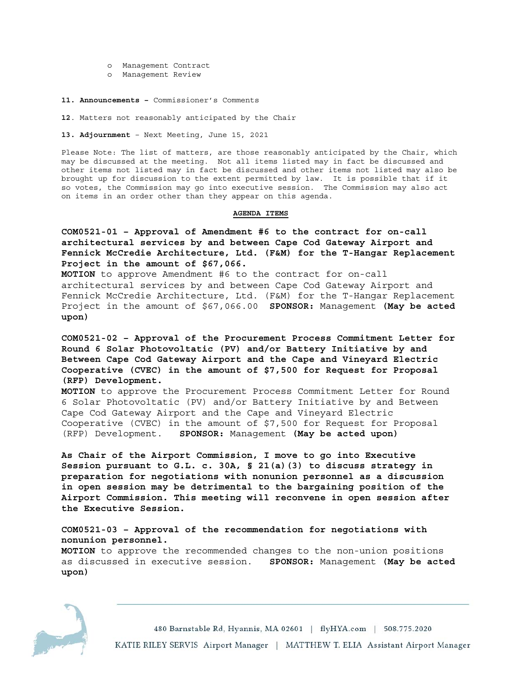- o Management Contract
- o Management Review
- **11. Announcements** Commissioner's Comments

**12**. Matters not reasonably anticipated by the Chair

**13. Adjournment** – Next Meeting, June 15, 2021

Please Note: The list of matters, are those reasonably anticipated by the Chair, which may be discussed at the meeting. Not all items listed may in fact be discussed and other items not listed may in fact be discussed and other items not listed may also be brought up for discussion to the extent permitted by law. It is possible that if it so votes, the Commission may go into executive session. The Commission may also act on items in an order other than they appear on this agenda.

### **AGENDA ITEMS**

**COM0521-01 – Approval of Amendment #6 to the contract for on-call architectural services by and between Cape Cod Gateway Airport and Fennick McCredie Architecture, Ltd. (F&M) for the T-Hangar Replacement Project in the amount of \$67,066.** 

**MOTION** to approve Amendment #6 to the contract for on-call architectural services by and between Cape Cod Gateway Airport and Fennick McCredie Architecture, Ltd. (F&M) for the T-Hangar Replacement Project in the amount of \$67,066.00 **SPONSOR:** Management **(May be acted upon)** 

**COM0521-02 – Approval of the Procurement Process Commitment Letter for Round 6 Solar Photovoltatic (PV) and/or Battery Initiative by and Between Cape Cod Gateway Airport and the Cape and Vineyard Electric Cooperative (CVEC) in the amount of \$7,500 for Request for Proposal (RFP) Development.** 

**MOTION** to approve the Procurement Process Commitment Letter for Round 6 Solar Photovoltatic (PV) and/or Battery Initiative by and Between Cape Cod Gateway Airport and the Cape and Vineyard Electric Cooperative (CVEC) in the amount of \$7,500 for Request for Proposal (RFP) Development. **SPONSOR:** Management **(May be acted upon)** 

**As Chair of the Airport Commission, I move to go into Executive Session pursuant to G.L. c. 30A, § 21(a)(3) to discuss strategy in preparation for negotiations with nonunion personnel as a discussion in open session may be detrimental to the bargaining position of the Airport Commission. This meeting will reconvene in open session after the Executive Session.** 

## **COM0521-03 – Approval of the recommendation for negotiations with nonunion personnel.**

**MOTION** to approve the recommended changes to the non-union positions as discussed in executive session. **SPONSOR:** Management **(May be acted upon)** 



480 Barnstable Rd, Hyannis, MA 02601 | flyHYA.com | 508.775.2020 KATIE RILEY SERVIS Airport Manager | MATTHEW T. ELIA Assistant Airport Manager